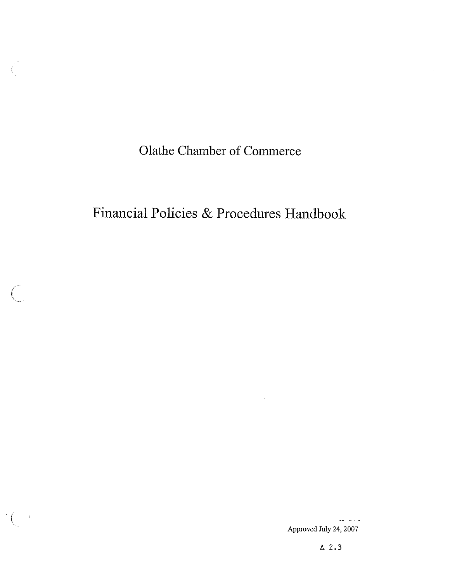Olathe Chamber of Commerce

# Financial Policies & Procedures Handbook

 $\sim$ 

Approved July 24, 2007

عاد عاملت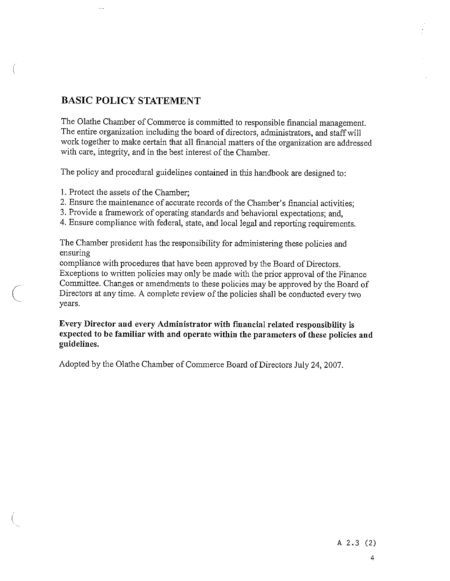## BASIC POLICY STATEMENT

The Olathe Chamber of Commerce is committed to responsible financial management. The entire organization including the board of directors, administrators, and staffwill work together to make certain that all financial matters of the organization are addressed with care, integrity, and in the best interest of the Chamber.

The policy and procedural guidelines contained in this handbook are designed to:

1. Protect the assets of the Chamber;

2. Ensure the maintenance of accurate records of the Chamber's financial activities;

3. Provide <sup>a</sup> framework of operating standards and behavioral expectations; and,

4. Ensure compliance with federal, state, and local legal and reporting requirements.

The Chamber president has the responsibility for administering these policies and ensuring

compliance with procedures that have been approved by the Board of Directors. Exceptions to written policies may only be made with the prior approval of the Finance Committee. Changes or amendments to these policies may be approved by the Board of Directors at any time. <sup>A</sup> complete review of the policies shall be conducted every two years.

Every Director and every Administrator with financial related responsibility is expected to be familiar with and operate within the parameters of these policies and guidelines.

Adopted by the Olathe Chamber of Commerce Board of Directors July 24, 2007.

A 2.3 (2)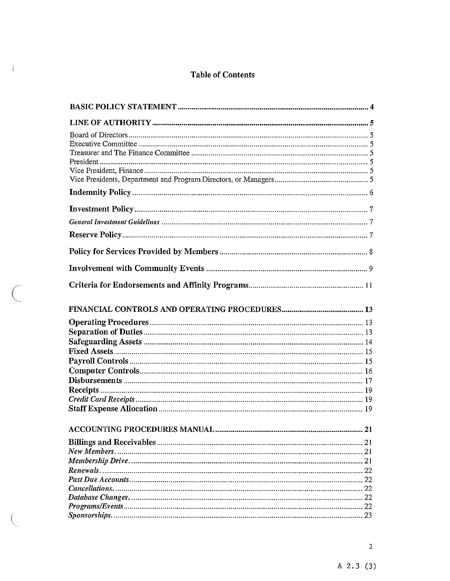## Table of Contents

 $\langle$  (

 $\bigcap$ 

 $\left($ 

| 21  |
|-----|
| -21 |
| 21  |
|     |
|     |
|     |
|     |
|     |
|     |
|     |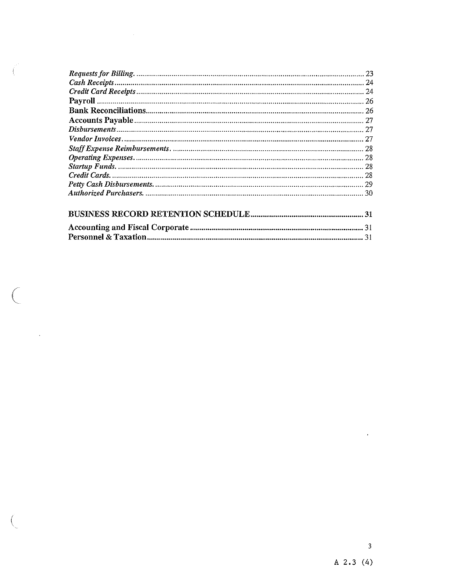$\bigg($ 

 $\sim 10^{-1}$ 

 $\mathcal{L}^{\text{max}}_{\text{max}}$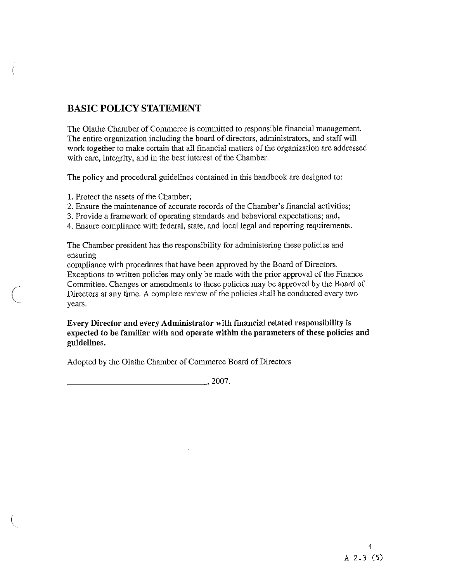## BASIC POLICY STATEMENT

The Olathe Chamber of Commerce is committed to responsible financial management. The entire organization including the board of directors, administrators, and staff will work together to make certain that all financial matters of the organization are addressed with care, integrity, and in the best interest of the Chamber.

The policy and procedural guidelines contained in this handbook are designed to:

1. Protect the assets of the Chamber;

2. Ensure the maintenance of accurate records of the Chamber's financial activities;

3. Provide a framework of operating standards and behavioral expectations; and,

4. Ensure compliance with federal, state, and local legal and reporting requirements.

The Chamber president has the responsibility for administering these policies and ensuring

compliance with procedures that have been approved by the Board of Directors. Exceptions to written policies may only be made with the prior approval of the Finance Conmilttee. Changes or amendments to these policies may be approved by the Board of Directors at any time. A complete review of the policies shall be conducted every two years.

Every Director and every Administrator with financial related responsibility is expected to be familiar with and operate within the parameters of these policies and guidelines.

Adopted by the Olathe Chamber of Commerce Board of Directors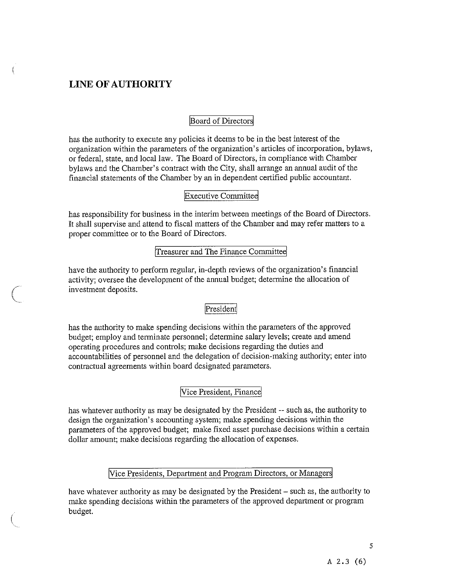## LINE OF AUTHORITY

#### Board of Directors]

has the authority to execute any policies it deems to be in the best interest of the organization within the parameters of the organization's articles of incorporation, bylaws, or federal, state, and local law. The Board of Directors, in compliance with Chamber bylaws and the Chamber's contract with the City, shall arrange an annual audit of the financial statements of the Chamber by an in dependent certified public accountant.

#### [Executive Committed

has responsibility for business in the interim between meetings of the Board of Directors. It shall supervise and attend to fiscal matters of the Chamber and may refer matters to a proper committee or to the Board of Directors.

## Treasurer and The Finance Committee

have the authority to perform regular, in-depth reviews of the organization's financial activity; oversee the development of the annual budget; determine the allocation of investment deposits.

#### President

has the authority to make spending decisions within the parameters of the approved budget; employ and terminate personnel; determine salary levels; create and amend operating procedures and controls; make decisions regarding the duties and accountabilities of personnel and the delegation of decision-making authority; enter into contractual agreements within board designated parameters.

#### Vice President, Financ

has whatever authority as may be designated by the President -- such as, the authority to design the organization's accounting system; make spending decisions within the parameters of the approved budget; make fixed asset purchase decisions within a certain dollar amount; make decisions regarding the allocation of expenses.

#### Vice Presidents, Department and Program Directors, or Managers

have whatever authority as may be designated by the President — such as, the authority to make spending decisions within the parameters of the approved department or program budget.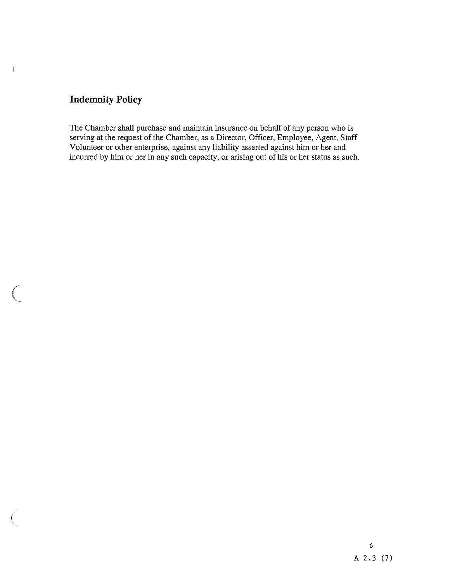## Indemnity Policy

 $\mathbf{r}$ 

The Chamber shall purchase and maintain insurance on behalf of any person who is serving at the request of the Chamber, as a Director, Officer, Employee, Agent, Staff Volunteer or other enterprise, against any liability asserted against him or her and incurred by him or her in any such capacity, or arising out of his or her status as such.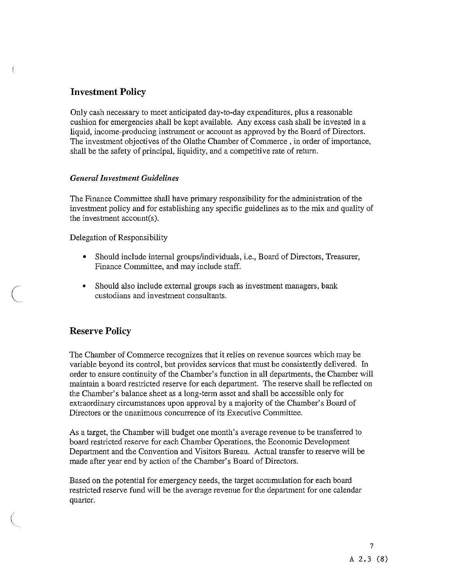## Investment Policy

Only cash necessary to meet anticipated day-to-day expenditures, plus a reasonable cushion for emergencies shall be kept available. Any excess cash shall be invested in a liquid, income-producing instrument or account as approved by the Board of Directors. The investment objectives of the Olathe Chamber of Commerce , in order of importance, shall be the safety of principal, liquidity, and a competitive rate of return.

#### General Investment Guidelines

The Finance Committee shall have primary responsibility for the administration of the investment policy and for establishing any specific guidelines as to the mix and quality of the investment account(s).

Delegation of Responsibility

- Should include internal groups/individuals, i.e., Board of Directors, Treasurer, Finance Committee, and may include staff.
- Should also include external groups such as investment managers, bank custodians and investment consultants.

## Reserve Policy

The Chamber of Commerce recognizes that it relies on revenue sources which may be variable beyond its control, but provides services that must be consistently delivered. In order to ensure continuity of the Chamber's function in all departments, the Chamber will maintain a board restricted reserve for each department. The reserve shall be reflected on the Chamber's balance sheet as a long-term asset and shall be accessible only for extraordinary circumstances upon approval by a majority of the Chamber's Board of Directors or the unanimous concurrence of its Executive Committee.

As a target, the Chamber will budget one month's average revenue to be transferred to board restricted reserve for each Chamber Operations, the Economic Development Department and the Convention and Visitors Bureau. Actual transfer to reserve will be made after year end by action of the Chamber's Board of Directors.

Based on the potential for emergency needs, the target accumulation for each board restricted reserve fund will be the average revenue for the department for one calendar quarter.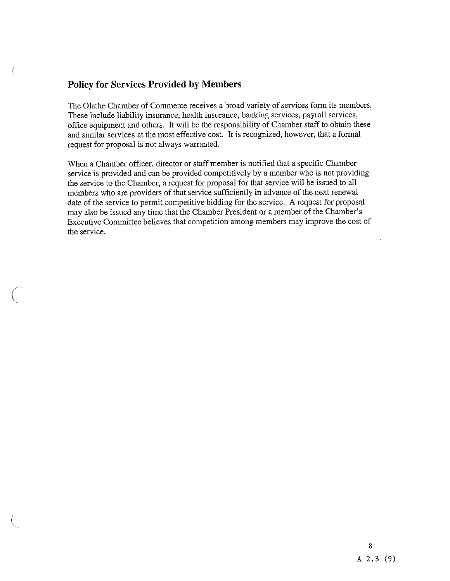## Policy for Services Provided by Members

The Olathe Chamber of Commerce receives a broad variety of services form its members. These include liability insurance, health insurance, banking services, payroll services, office equipment and others. It will be the responsibility of Chamber staff to obtain these and similar services at the most effective cost. It is recognized, however, that a formal request for proposal is not always warranted.

When a Chamber officer, director or staff member is notified that a specific Chamber service is provided and can be provided competitively by a member who is not providing the service to the Chamber, a request for proposal for that service will be issued to all members who are providers of that service sufficiently in advance of the next renewal date of the service to permit competitive bidding for the service. A request for proposal may also be issued any time that the Chamber President or a member of the Chamber's Executive Committee believes that competition among members may improve the cost of the service.

## 8 <sup>A</sup> 2.3 (9)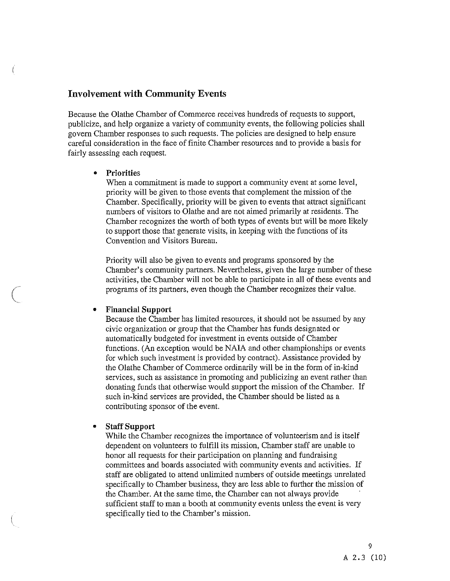## Involvement with Community Events

Because the Olathe Chamber of Commerce receives hundreds of requests to support, publicize, and help organize a variety of community events, the following policies shall govern Chamber responses to such requests. The policies are designed to help ensure careful consideration in the face of finite Chamber resources and to provide a basis for fairly assessing each request.

#### • Priorities

When a commitment is made to support a community event at some level, priority will be given to those events that complement the mission of the Chamber. Specifically, priority will be given to events that attract significant numbers of visitors to Olathe and are not aimed primarily at residents. The Chamber recognizes the worth of both types of events but will be more likely to support those that generate visits, in keeping with the functions of its Convention and Visitors Bureau.

Priority will also be given to events and programs sponsored by the Chamber's community partners. Nevertheless, given the large number of these activities, the Chamber will not be able to participate in all of these events and programs of its partners, even though the Chamber recognizes their value.

#### <sup>o</sup> Financial Support

Because the Chamber has limited resources, it should not be assumed by any civic organization or group that the Chamber has funds designated or automatically budgeted for investment in events outside of Chamber functions. (An exception would be NALA and other championships or events for which such investment is provided by contract). Assistance provided by the Olathe Chamber of Commerce ordinarily will be in the form of in-kind services, such as assistance in promoting and publicizing an event rather than donating funds that otherwise would support the mission of the Chamber. If such in-kind services are provided, the Chamber should be listed as a contributing sponsor of the event.

#### • Staff Support

While the Chamber recognizes the importance of volunteerism and is itself dependent on volunteers to fulfill its mission, Chamber staff are unable to honor all requests for their participation on planning and fundraising committees and boards associated with community events and activities. If staff are obligated to attend unlimited numbers of outside meetings unrelated specifically to Chamber business, they are less able to further the mission of the Chamber. At the same time, the Chamber can not always provide sufficient staff to man a booth at community events unless the event is very specifically tied to the Chamber's mission.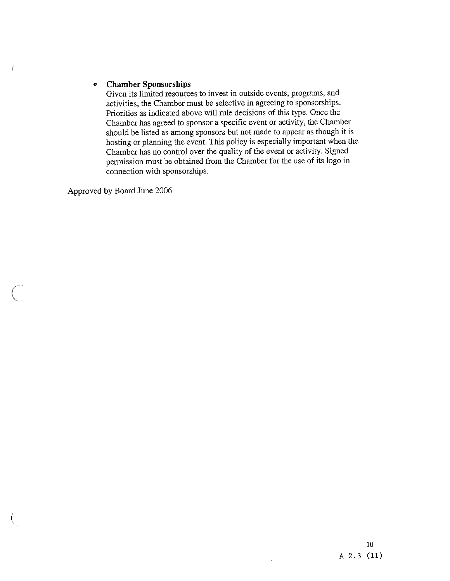#### •Chamber Sponsorships

Given its limited resources to invest in outside events, programs, and activities, the Chamber must be selective in agreeing to sponsorships. Priorities as indicated above will rule decisions of this type. Once the Chamber has agree<sup>d</sup> to sponsor <sup>a</sup> specific event or activity, the Chamber should be listed as among sponsors but not made to appear as though it is hosting or <sup>p</sup>lanning the event. This policy is especially important when the Chamber has no control over the quality of the event or activity. Signed permission must be obtained from the Chamber for the use of its logo in connection with sponsorships.

Approved by Board June 2006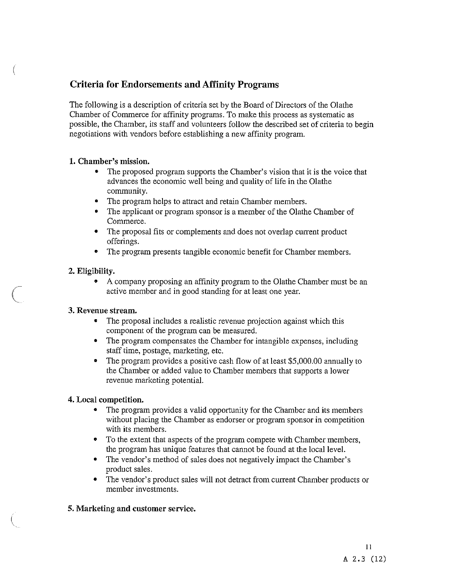## Criteria for Endorsements and Affinity Programs

The following is a description of criteria set by the Board of Directors of the Olathe Chamber of Commerce for affinity programs. To make this process as systematic as possible, the Chamber, its staff and volunteers follow the described set of criteria to begin negotiations with vendors before establishing a new affinity program.

## 1. Chamber's mission.

- The proposed program supports the Chamber's vision that it is the voice that advances the economic well being and quality of life in the Olathe community.
- The program helps to attract and retain Chamber members.
- The applicant or program sponsor is a member of the Olathe Chamber of Commerce.
- The proposal fits or complements and does not overlap current product offerings.
- The program presents tangible economic benefit for Chamber members.

## 2. Eligibility.

• A company proposing an affinity program to the Olathe Chamber must be an active member and in good standing for at least one year.

## 3. Revenue stream.

- The proposal includes a realistic revenue projection against which this component of the program can be measured.
- The program compensates the Chamber for intangible expenses, including staff time, postage, marketing, etc.
- The program provides a positive cash flow of at least \$5,000.00 annually to the Chamber or added value to Chamber members that supports a lower revenue marketing potential.

## 4. Local competition.

- The program provides a valid opportunity for the Chamber and its members without placing the Chamber as endorser or program sponsor in competition with its members.
- To the extent that aspects of the program compete with Chamber members, the program has unique features that cannot be found at the local level.
- The vendor's method of sales does not negatively impact the Chamber's product sales.
- The vendor's product sales will not detract from current Chamber products or member investments.

## 5. Marketing and customer service.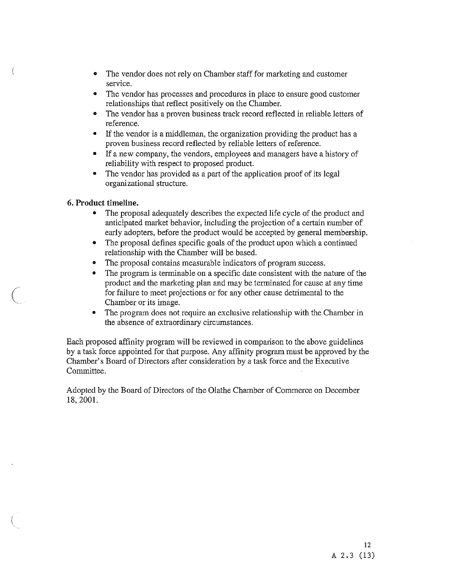- The vendor does not rely on Chamber staff for marketing and customer service.
- The vendor has processes and procedures in place to ensure good customer relationships that reflect positively on the Chamber.
- The vendor has a proven business track record reflected in reliable letters of reference.
- If the vendor is a middleman, the organization providing the product has a proven business record reflected by reliable letters of reference.
- <sup>o</sup> If a new company, the vendors, employees and managers have a history of reliability with respect to proposed product.
- The vendor has provided as a part of the application proof of its legal organizational structure.

#### 6. Product timeline.

- The proposal adequately describes the expected life cycle of the product and anticipated market behavior, including the projection of a certain number of early adopters, before the product would be accepted by general membership.
- The proposal defines specific goals of the product upon which a continued relationship with the Chamber will be based.
- The proposal contains measurable indicators of program success.
- The program is terminable on a specific date consistent with the nature of the product and the marketing plan and may be terminated for cause at any time for failure to meet projections or for any other cause detrimental to the Chamber or its image.
- The program does not require an exclusive relationship with the Chamber in the absence of extraordinary circumstances.

Each proposed affinity program will be reviewed in comparison to the above guidelines by a task force appointed for that purpose. Any affinity program must be approved by the Chamber's Board of Directors after consideration by a task force and the Executive Committee.

Adopted by the Board of Directors of the Olathe Chamber of Commerce on December 18, 2001.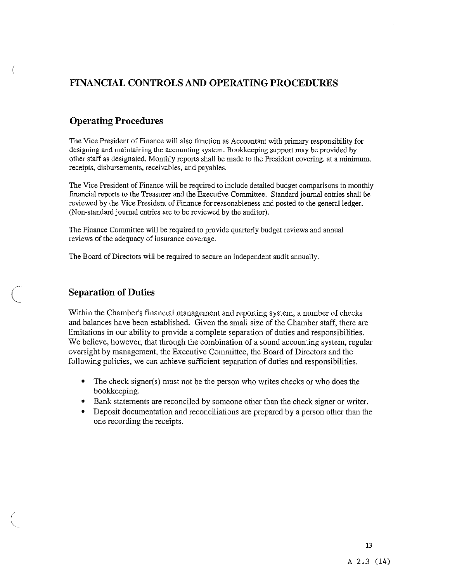## FINANCIAL CONTROLS ANI) OPERATING PROCEDURES

## Operating Procedures

The Vice President of Finance will also function as Accountant with primary responsibility for designing and maintaining the accounting system. Bookkeeping support may be provided by other staff as designated. Monthly reports shall be made to the President covering, at a minimum, receipts, disbursements, receivables, and payables.

The Vice President of Finance will be required to include detailed budget comparisons in monthly financial reports to the Treasurer and the Executive Committee. Standard journal entries shall be reviewed by the Vice President of Finance for reasonableness and posted to the general ledger. (Non-standard journal entries are to be reviewed by the auditor).

The Finance Committee will be required to provide quarterly budget reviews and annual reviews of the adequacy of insurance coverage.

The Board of Directors will be required to secure an independent audit annually.

## Separation of Duties

Within the Chamber's financial management and reporting system, a number of checks and balances have been established. Given the small size of the Chamber staff, there are limitations in our ability to provide a complete separation of duties and responsibilities. We believe, however, that through the combination of a sound accounting system, regular oversight by management, the Executive Committee, the Board of Directors and the following policies, we can achieve sufficient separation of duties and responsibilities.

- The check signer(s) must not be the person who writes checks or who does the bookkeeping.
- Bank statements are reconciled by someone other than the check signer or writer.
- Deposit documentation and reconciliations are prepared by a person other than the one recording the receipts.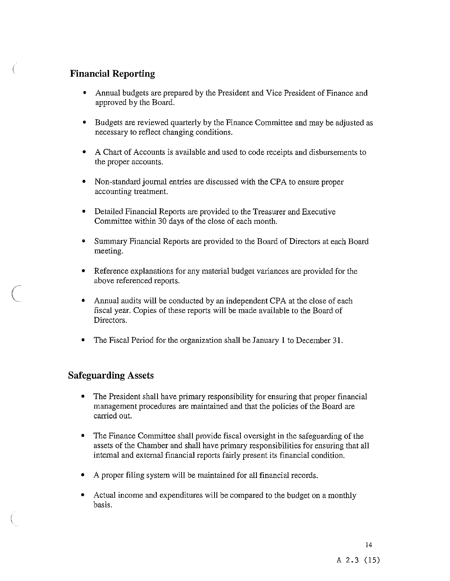## Financial Reporting

- Annual budgets are prepared by the President and Vice President of Finance and approved by the Board.
- Budgets are reviewed quarterly by the Finance Committee and may be adjusted as necessary to reflect changing conditions.
- A Chart of Accounts is available and used to code receipts and disbursements to the proper accounts.
- Non-standard journal entries are discussed with the CPA to ensure proper accounting treatment.
- Detailed Financial Reports are provided to the Treasurer and Executive Committee within 30 days of the close of each month.
- Summary Financial Reports are provided to the Board of Directors at each Board meeting.
- Reference explanations for any material budget variances are provided for the above referenced reports.
- Annual audits will be conducted by an independent CPA at the close of each fiscal year. Copies of these reports will be made available to the Board of Directors.
- The Fiscal Period for the organization shall be January 1 to December 31.

## Safeguarding Assets

- The President shall have primary responsibility for ensuring that proper financial management procedures are maintained and that the policies of the Board are carried out.
- The Finance Committee shall provide fiscal oversight in the safeguarding of the assets of the Chamber and shall have primary responsibilities for ensuring that all internal and external financial reports fairly present its financial condition.
- A proper filing system will be maintained for all financial records.
- Actual income and expenditures will be compared to the budget on a monthly basis.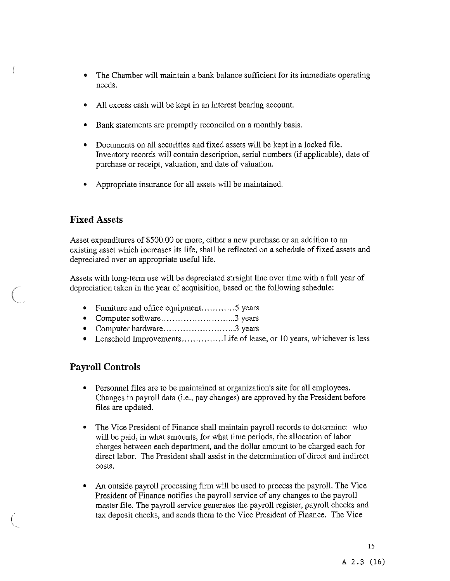- The Chamber will maintain a bank balance sufficient for its immediate operating needs.
- All excess cash will be kept in an interest bearing account.
- Bank statements are promptly reconciled on a monthly basis.
- Documents on all securities and fixed assets will be kept in a locked file. Inventory records will contain description, serial numbers (if applicable), date of purchase or receipt, valuation, and date of valuation.
- Appropriate insurance for all assets will be maintained.

## Fixed Assets

Asset expenditures of \$500.00 or more, either a new purchase or an addition to an existing asset which increases its life, shall be reflected on a schedule of fixed assets and depreciated over an appropriate useful life.

Assets with long-term use will be depreciated straight line over time with a full year of depreciation taken in the year of acquisition, based on the following schedule:

- Furniture and office equipment.............5 years
- Computer software 3 years
- Computer hardware 3 years
- Leasehold Improvements..............Life of lease, or 10 years, whichever is less

## Payroll Controls

- Personnel files are to be maintained at organization's site for all employees. Changes in payroll data (i.e., pay changes) are approved by the President before files are updated.
- The Vice President of Finance shall maintain payroll records to determine: who will be paid, in what amounts, for what time periods, the allocation of labor charges between each department, and the dollar amount to be charged each for direct labor. The President shall assist in the determination of direct and indirect costs.
- An outside payroll processing firm will be used to process the payroll. The Vice President of Finance notifies the payroll service of any changes to the payroll master file. The payroll service generates the payroll register, payroll checks and tax deposit checks, and sends them to the Vice President of Finance. The Vice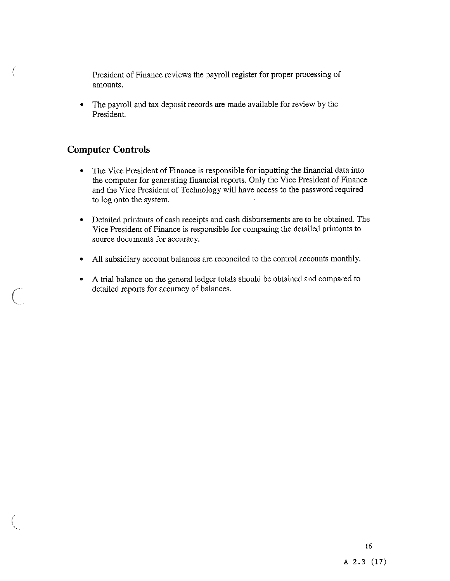President of Finance reviews the payroll register for proper processing of amounts.

• The payroll and tax deposit records are made available for review by the President.

## Computer Controls

- The Vice President of Finance is responsible for inputting the financial data into the computer for generating financial reports. Only the Vice President of Finance and the Vice President of Technology will have access to the password required to log onto the system.
- Detailed printouts of cash receipts and cash disbursements are to be obtained. The Vice President of Finance is responsible for comparing the detailed printouts to source documents for accuracy.
- All subsidiary account balances are reconciled to the control accounts monthly.
- A trial balance on the general ledger totals should be obtained and compared to detailed reports for accuracy of balances.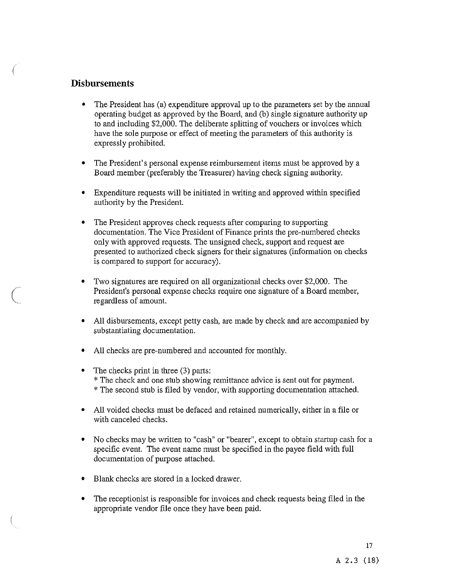## Disbursements

- The President has (a) expenditure approval up to the parameters set by the annual operating budget as approved by the Board, and (b) single signature authority up to and including \$2,000. The deliberate splitting of vouchers or invoices which have the sole purpose or effect of meeting the parameters of this authority is expressly prohibited.
- The President's personal expense reimbursement items must be approved by a Board member (preferably the Treasurer) having check signing authority.
- Expenditure requests will be initiated in writing and approved within specified authority by the President.
- The President approves check requests after comparing to supporting documentation. The Vice President of Finance prints the pre-numbered checks only with approved requests. The unsigned check, support and request are presented to authorized check signers for their signatures (information on checks is compared to support for accuracy).
- Two signatures are required on all organizational checks over \$2,000. The President's personal expense checks require one signature of a Board member, regardless of amount.
- All disbursements, except petty cash, are made by check and are accompanied by substantiating documentation.
- All checks are pre-numbered and accounted for monthly.
- The checks print in three (3) parts: \* The check and one stub showing remittance advice is sent out for payment. \* The second stub is filed by vendor, with supporting documentation attached.
- All voided checks must be defaced and retained numerically, either in a file or with canceled checks.
- No checks may be written to "cash" or "bearer", except to obtain startup cash for a specific event. The event name must be specified in the payee field with full documentation of purpose attached.
- Blank checks are stored in a locked drawer.
- The receptionist is responsible for invoices and check requests being filed in the appropriate vendor file once they have been paid.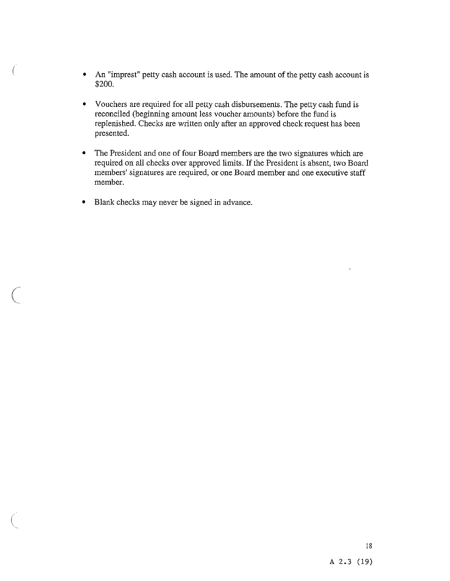- An 'imprest" petty cash account is used. The amount of the petty cash account is \$200.
- Vouchers are required for all petty cash disbursements. The petty cash fund is reconciled (beginning amount less voucher amounts) before the fund is replenished. Checks are written only after an approved check request has been presented.
- The President and one of four Board members are the two signatures which are required on all checks over approved limits. If the President is absent, two Board members' signatures are required, or one Board member and one executive staff member.
- Blank checks may never be signed in advance.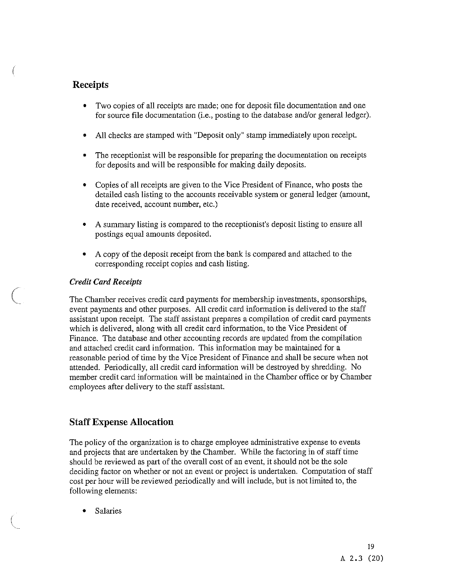## Receipts

- Two copies of all receipts are made; one for deposit file documentation and one for source file documentation (i.e., posting to the database and/or general ledger).
- All checks are stamped with 'Deposit only" stamp immediately upon receipt.
- The receptionist will be responsible for preparing the documentation on receipts for deposits and will be responsible for making daily deposits.
- Copies of all receipts are given to the Vice President of Finance, who posts the detailed cash listing to the accounts receivable system or general ledger (amount, date received, account number, etc.)
- A summary listing is compared to the receptionist's deposit listing to ensure all postings equal amounts deposited.
- A copy of the deposit receipt from the bank is compared and attached to the corresponding receipt copies and cash listing.

## Credit Card Receipts

The Chamber receives credit card payments for membership investments, sponsorships, event payments and other purposes. All credit card information is delivered to the staff assistant upon receipt. The staff assistant prepares a compilation of credit card payments which is delivered, along with all credit card information, to the Vice President of Finance. The database and other accounting records are updated from the compilation and attached credit card information. This information may be maintained for a reasonable period of time by the Vice President of Finance and shall be secure when not attended. Periodically, all credit card information will be destroyed by shredding. No member credit card information will be maintained in the Chamber office or by Chamber employees after delivery to the staff assistant.

## Staff Expense Allocation

The policy of the organization is to charge employee administrative expense to events and projects that are undertaken by the Chamber. While the factoring in of staff time should be reviewed as part of the overall cost of an event, it should not be the sole deciding factor on whether or not an event or project is undertaken. Computation of staff cost per hour will be reviewed periodically and will include, but is not limited to, the following elements;

**Salaries**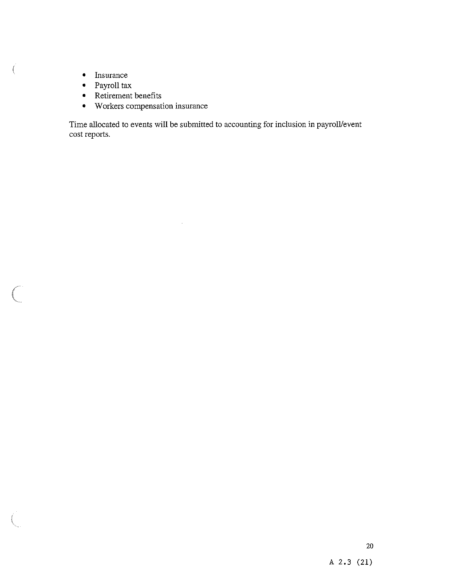• Insurance

 $\left($ 

- Payroll tax
- Retirement benefits
- Workers compensation insurance

Time allocated to events will be submitted to accounting for inclusion in payrolllevent cost reports.

 $\bar{z}$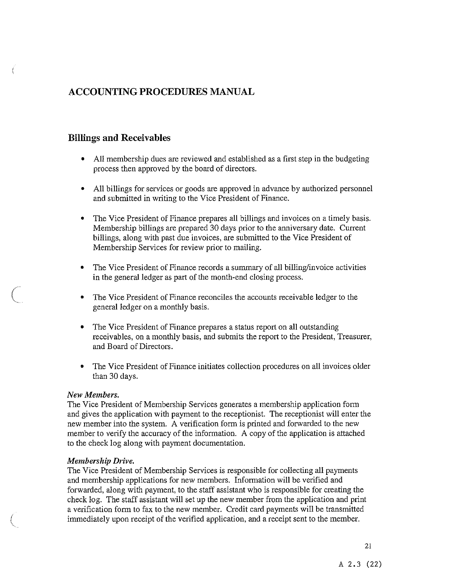## ACCOUNTING PROCEDURES MANUAL

## Billings and Receivables

- All membership dues are reviewed and established as a first step in the budgeting process then approved by the board of directors.
- All billings for services or goods are approved in advance by authorized personnel and submitted in writing to the Vice President of Finance.
- The Vice President of Finance prepares all billings and invoices on a timely basis. Membership billings are prepared 30 days prior to the anniversary date. Current billings, along with past due invoices, are submitted to the Vice President of Membership Services for review prior to mailing.
- The Vice President of Finance records a summary of all billing/invoice activities in the general ledger as part of the month-end closing process.
- The Vice President of Finance reconciles the accounts receivable ledger to the general ledger on a monthly basis.
- The Vice President of Finance prepares a status report on all outstanding receivables, on a monthly basis, and submits the report to the President, Treasurer, and Board of Directors.
- The Vice President of Finance initiates collection procedures on all invoices older than 30 days.

#### New Members.

The Vice President of Membership Services generates a membership application form and gives the application with payment to the receptionist. The receptionist will enter the new member into the system. A verification form is printed and forwarded to the new member to verify the accuracy of the information. A copy of the application is attached to the check log along with payment documentation.

#### Membership Drive.

The Vice President of Membership Services is responsible for collecting all payments and membership applications for new members. Information will be verified and forwarded, along with payment, to the staff assistant who is responsible for creating the check log. The staff assistant will set up the new member from the application and print a verification form to fax to the new member. Credit card payments will be transmitted immediately upon receipt of the verified application, and a receipt sent to the member.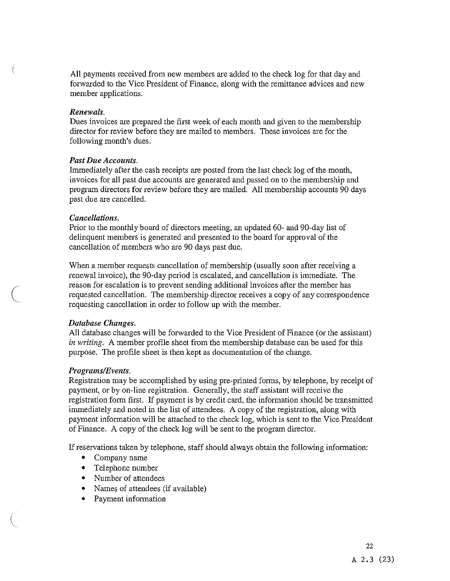All payments received from new members are added to the check log for that day and forwarded to the Vice President of Finance, along with the remittance advices and new member applications.

#### Renewals.

Dues invoices are prepared the first week of each month and given to the membership director for review before they are mailed to members. These invoices are for the following month's dues.

#### Past Due Accounts.

Immediately after the cash receipts are posted from the last check log of the month, invoices for all past due accounts are generated and passed on to the membership and program directors for review before they are mailed. All membership accounts 90 days past due are cancelled.

#### Cancellations.

Prior to the monthly board of directors meeting, an updated 60- and 90-day list of delinquent members is generated and presented to the board for approval of the cancellation of members who are 90 days past due.

When a member requests cancellation of membership (usually soon after receiving a renewal invoice), the 90-day period is escalated, and cancellation is immediate. The reason for escalation is to prevent sending additional invoices after the member has requested cancellation. The membership director receives a copy of any correspondence requesting cancellation in order to follow up with the member.

#### Database Changes.

All database changes will be forwarded to the Vice President of Finance (or the assistant) in writing. A member profile sheet from the membership database can be used for this purpose. The profile sheet is then kept as documentation of the change.

#### Programs/Events.

Registration may be accomplished by using pre-printed forms, by telephone, by receipt of payment, or by on-line registration. Generally, the staff assistant will receive the registration form first. If payment is by credit card, the information should be transmitted immediately and noted in the list of attendees. A copy of the registration, along with payment information will be attached to the check log, which is sent to the Vice President of Finance. A copy of the check log will be sent to the program director.

If reservations taken by telephone, staff should always obtain the following information:

- Company name
- Telephone number
- Number of attendees
- Names of attendees (if available)
- Payment information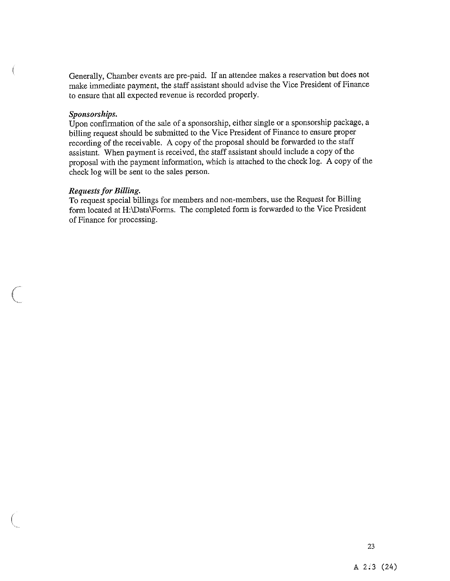Generally, Chamber events are pre-paid. If an attendee makes <sup>a</sup> reservation but does not make immediate payment, the staff assistant should advise the Vice President of Finance to ensure that all expected revenue is recorded properly.

#### Sponsorships.

Upon confirmation of the sale of <sup>a</sup> sponsorship, either single or <sup>a</sup> sponsorship package, <sup>a</sup> billing reques<sup>t</sup> should be submitted to the Vice President of Finance to ensure proper recording of the receivable. <sup>A</sup> copy of the proposa<sup>l</sup> should be forwarded to the staff assistant. When paymen<sup>t</sup> is received, the staff assistant should include <sup>a</sup> copy of the proposa<sup>l</sup> with the paymen<sup>t</sup> information, which is attached to the check log. <sup>A</sup> copy of the check log will be sent to the sales person.

#### Requests for Billing.

To reques<sup>t</sup> special billings for members and non-members, use the Request for Billing form located at H:\Data'Forms. The completed form is forwarded to the Vice President of Finance for processing.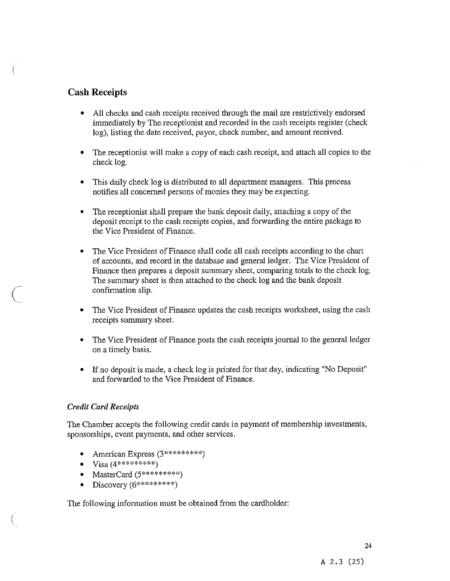## Cash Receipts

- All checks and cash receipts received through the mail are restrictively endorsed immediately by The receptionist and recorded in the cash receipts register (check log), listing the date received, payor, check number, and amount received.
- The receptionist will make a copy of each cash receipt, and attach all copies to the check log.
- This daily check log is distributed to all department managers. This process notifies all concerned persons of monies they may be expecting.
- The receptionist shall prepare the bank deposit daily, attaching a copy of the deposit receipt to the cash receipts copies, and forwarding the entire package to the Vice President of Finance.
- The Vice President of Finance shall code all cash receipts according to the chart of accounts, and record in the database and general ledger. The Vice President of Finance then prepares a deposit summary sheet, comparing totals to the check log. The summary sheet is then attached to the check log and the bank deposit confirmation slip.
- The Vice President of Finance updates the cash receipts worksheet, using the cash receipts summary sheet.
- The Vice President of Finance posts the cash receipts journal to the general ledger on a timely basis.
- If no deposit is made, a check log is printed for that day, indicating "No Deposit" and forwarded to the Vice President of Finance.

## Credit Card Receipts

The Chamber accepts the following credit cards in payment of membership investments, sponsorships, event payments, and other services.

- American Express (3\*\*\*\*\*\*\*\*\*\*)
- $V$ isa (4\*\*\*\*\*\*\*\*\*\*)
- MasterCard  $(5*********)$
- Discovery  $(6**********)$

The following information must be obtained from the cardholder: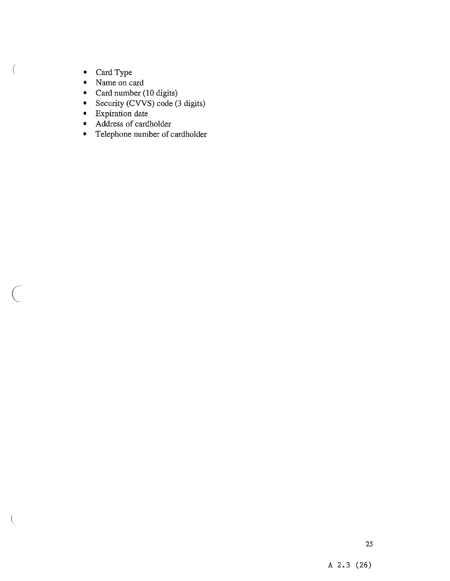• Card Type

 $\big($ 

 $\bigl(\bigl($ 

- Name on card  $\bullet$
- Card number (10 digits)
- Security (CVVS) code (3 digits)  $\bullet$
- Expiration date
- Address of cardholder
- Telephone number of cardholder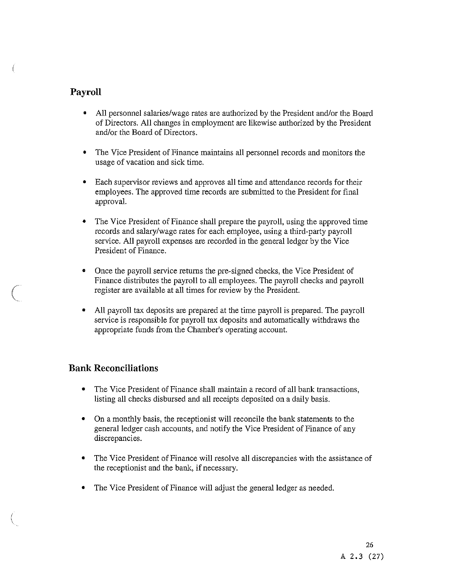## Payroll

- All personnel salaries/wage rates are authorized by the President and/or the Board of Directors. All changes in employment are likewise authorized by the President and/or the Board of Directors.
- The Vice President of Finance maintains all personnel records and monitors the usage of vacation and sick time.
- Each supervisor reviews and approves all time and attendance records for their employees. The approved time records are submitted to the President for final approval.
- The Vice President of Finance shall prepare the payroll, using the approved time records and salary/wage rates for each employee, using a third-party payroll service. All payroll expenses are recorded in the general ledger by the Vice President of Finance.
- Once the payroll service returns the pre-signed checks, the Vice President of Finance distributes the payroll to all employees. The payroll checks and payroll register are available at all times for review by the President.
- All payroll tax deposits are prepared at the time payroll is prepared. The payroll service is responsible for payroll tax deposits and automatically withdraws the appropriate funds from the Chamber's operating account.

## Bank Reconciliations

- The Vice President of Finance shall maintain a record of all bank transactions, listing all checks disbursed and all receipts deposited on a daily basis.
- On a monthly basis, the receptionist will reconcile the bank statements to the general ledger cash accounts, and notify the Vice President of Finance of any discrepancies.
- The Vice President of Finance will resolve all discrepancies with the assistance of the receptionist and the bank, if necessary.
- The Vice President of Finance will adjust the general ledger as needed.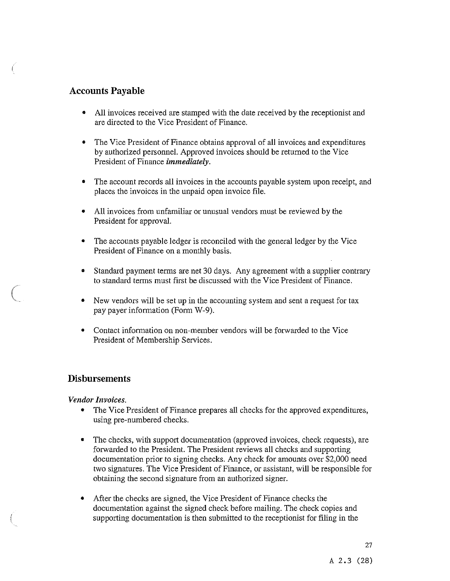## Accounts Payable

- All invoices received are stamped with the date received by the receptionist and are directed to the Vice President of Finance.
- The Vice President of Finance obtains approval of all invoices and expenditures by authorized personnel. Approved invoices should be returned to the Vice President of Finance immediately.
- The account records all invoices in the accounts payable system upon receipt, and places the invoices in the unpaid open invoice file.
- All invoices from unfamiliar or unusual vendors must be reviewed by the President for approval.
- The accounts payable ledger is reconciled with the general ledger by the Vice President of Finance on a monthly basis.
- Standard payment terms are net 30 days. Any agreement with a supplier contrary to standard terms must first be discussed with the Vice President of Finance.
- New vendors will be set up in the accounting system and sent a request for tax pay payer information (Form W-9).
- Contact information on non-member vendors will be forwarded to the Vice President of Membership Services.

## Disbursements

#### Vendor Invoices.

- The Vice President of Finance prepares all checks for the approved expenditures, using pre-numbered checks.
- The checks, with support documentation (approved invoices, check requests), are forwarded to the President. The President reviews all checks and supporting documentation prior to signing checks. Any check for amounts over \$2,000 need two signatures. The Vice President of Finance, or assistant, will be responsible for obtaining the second signature from an authorized signer.
- After the checks are signed, the Vice President of Finance checks the documentation against the signed check before mailing. The check copies and supporting documentation is then submitted to the receptionist for filing in the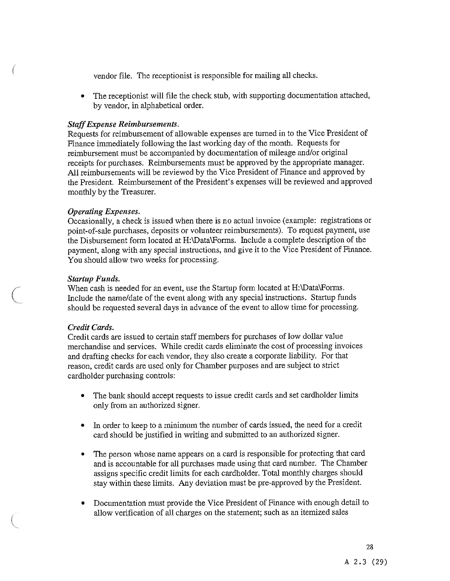vendor file. The receptionist is responsible for mailing all checks.

• The receptionist will file the check stub, with supporting documentation attached, by vendor, in alphabetical order.

## StaffExpense Reimbursements.

Requests for reimbursement of allowable expenses are turned in to the Vice President of Finance immediately following the last working day of the month. Requests for reimbursement must be accompanied by documentation of mileage and/or original receipts for purchases. Reimbursements must be approved by the appropriate manager. All reimbursements will be reviewed by the Vice President of Finance and approved by the President. Reimbursement of the President's expenses will be reviewed and approved monthly by the Treasurer.

#### Operating Expenses.

Occasionally, a check is issued when there is no actual invoice (example: registrations or point-of-sale purchases, deposits or volunteer reimbursements). To request payment, use the Disbursement form located at H:\Data\Forms. Include a complete description of the payment, along with any special instructions, and give it to the Vice President of Finance. You should allow two weeks for processing.

#### Startup Funds.

When cash is needed for an event, use the Startup form located at H:\Data\Forms. Include the name/date of the event along with any special instructions. Startup funds should be requested several days in advance of the event to allow time for processing.

## Credit Cards.

Credit cards are issued to certain staff members for purchases of low dollar value merchandise and services. While credit cards eliminate the cost of processing invoices and drafting checks for each vendor, they also create a corporate liability. For that reason, credit cards are used only for Chamber purposes and are subject to strict cardholder purchasing controls:

- The bank should accept requests to issue credit cards and set cardholder limits only from an authorized signer.
- In order to keep to a minimum the number of cards issued, the need for a credit card should be justified in writing and submitted to an authorized signer.
- The person whose name appears on a card is responsible for protecting that card and is accountable for all purchases made using that card number. The Chamber assigns specific credit limits for each cardholder. Total monthly charges should stay within these limits. Any deviation must be pre-approved by the President.
- Documentation must provide the Vice President of Finance with enough detail to allow verification of all charges on the statement; such as an itemized sales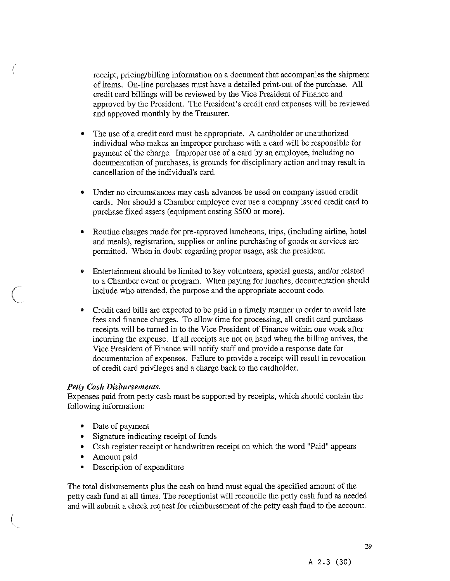receipt, pricing/billing information on a document that accompanies the shipment of items. On-line purchases must have a detailed print-out of the purchase. All credit card billings will be reviewed by the Vice President of Finance and approved by the President. The President's credit card expenses will be reviewed and approved monthly by the Treasurer.

- The use of a credit card must be appropriate. A cardholder or unauthorized individual who makes an improper purchase with a card will be responsible for payment of the charge. Improper use of a card by an employee, including no documentation of purchases, is grounds for disciplinary action and may result in cancellation of the individual's card.
- Under no circumstances may cash advances be used on company issued credit cards. Nor should a Chamber employee ever use a company issued credit card to purchase fixed assets (equipment costing \$500 or more).
- Routine charges made for pre-approved luncheons, trips, (including airline, hotel and meals), registration, supplies or online purchasing of goods or services are permitted. When in doubt regarding proper usage, ask the president.
- Entertainment should be limited to key volunteers, special guests, and/or related to a Chamber event or program. When paying for lunches, documentation should include who attended, the purpose and the appropriate account code.
- Credit card bills are expected to be paid in a timely manner in order to avoid late fees and finance charges. To allow time for processing, all credit card purchase receipts will be turned in to the Vice President of Finance within one week after incurring the expense. If all receipts are not on hand when the billing arrives, the Vice President of Finance will notify staff and provide a response date for documentation of expenses. Failure to provide a receipt will result in revocation of credit card privileges and a charge back to the cardholder.

#### Petty Cash Disbursements.

Expenses paid from petty cash must be supported by receipts, which should contain the following information:

- Date of payment
- Signature indicating receipt of funds
- Cash register receipt or handwritten receipt on which the word 'Paid" appears
- Amount paid
- Description of expenditure

The total disbursements plus the cash on hand must equal the specified amount of the petty cash fund at all times. The receptionist will reconcile the petty cash fund as needed and will submit a check request for reimbursement of the petty cash fund to the account.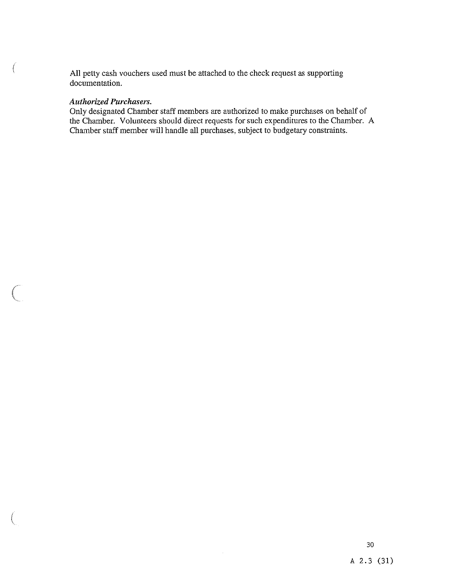All petty cash vouchers used must be attached to the check request as supporting documentation.

#### Authorized Purchasers.

 $\left($ 

Only designated Chamber staff members are authorized to make purchases on behalf of the Chamber. Volunteers should direct requests for such expenditures to the Chamber. A Chamber staff member will handle all purchases, subject to budgetary constraints.

 $\bar{z}$